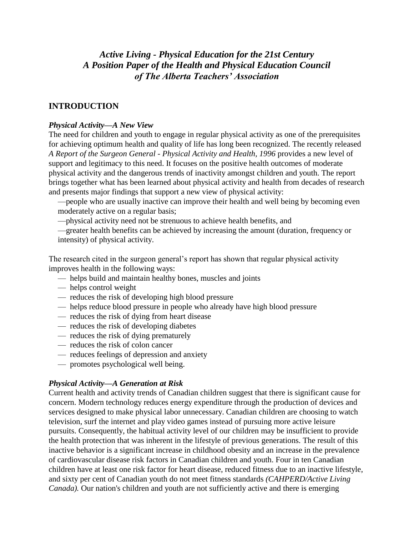# *Active Living - Physical Education for the 21st Century A Position Paper of the Health and Physical Education Council of The Alberta Teachers' Association*

## **INTRODUCTION**

#### *Physical Activity—A New View*

The need for children and youth to engage in regular physical activity as one of the prerequisites for achieving optimum health and quality of life has long been recognized. The recently released *A Report of the Surgeon General - Physical Activity and Health, 1996* provides a new level of support and legitimacy to this need. It focuses on the positive health outcomes of moderate physical activity and the dangerous trends of inactivity amongst children and youth. The report brings together what has been learned about physical activity and health from decades of research and presents major findings that support a new view of physical activity:

—people who are usually inactive can improve their health and well being by becoming even moderately active on a regular basis;

—physical activity need not be strenuous to achieve health benefits, and

—greater health benefits can be achieved by increasing the amount (duration, frequency or intensity) of physical activity.

The research cited in the surgeon general's report has shown that regular physical activity improves health in the following ways:

- helps build and maintain healthy bones, muscles and joints
- helps control weight
- reduces the risk of developing high blood pressure
- helps reduce blood pressure in people who already have high blood pressure
- reduces the risk of dying from heart disease
- reduces the risk of developing diabetes
- reduces the risk of dying prematurely
- reduces the risk of colon cancer
- reduces feelings of depression and anxiety
- promotes psychological well being.

#### *Physical Activity—A Generation at Risk*

Current health and activity trends of Canadian children suggest that there is significant cause for concern. Modern technology reduces energy expenditure through the production of devices and services designed to make physical labor unnecessary. Canadian children are choosing to watch television, surf the internet and play video games instead of pursuing more active leisure pursuits. Consequently, the habitual activity level of our children may be insufficient to provide the health protection that was inherent in the lifestyle of previous generations. The result of this inactive behavior is a significant increase in childhood obesity and an increase in the prevalence of cardiovascular disease risk factors in Canadian children and youth. Four in ten Canadian children have at least one risk factor for heart disease, reduced fitness due to an inactive lifestyle, and sixty per cent of Canadian youth do not meet fitness standards *(CAHPERD/Active Living Canada*). Our nation's children and youth are not sufficiently active and there is emerging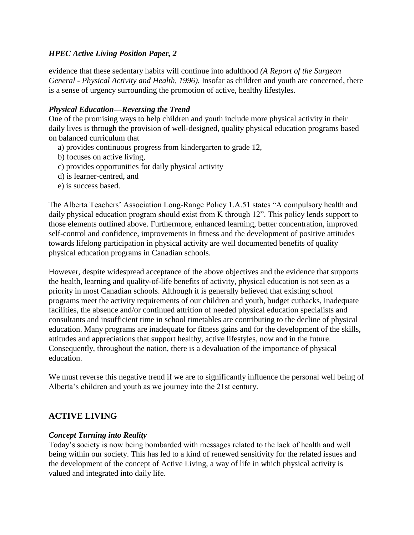evidence that these sedentary habits will continue into adulthood *(A Report of the Surgeon General - Physical Activity and Health, 1996).* Insofar as children and youth are concerned, there is a sense of urgency surrounding the promotion of active, healthy lifestyles.

#### *Physical Education—Reversing the Trend*

One of the promising ways to help children and youth include more physical activity in their daily lives is through the provision of well-designed, quality physical education programs based on balanced curriculum that

- a) provides continuous progress from kindergarten to grade 12,
- b) focuses on active living,
- c) provides opportunities for daily physical activity
- d) is learner-centred, and
- e) is success based.

The Alberta Teachers' Association Long-Range Policy 1.A.51 states "A compulsory health and daily physical education program should exist from K through 12". This policy lends support to those elements outlined above. Furthermore, enhanced learning, better concentration, improved self-control and confidence, improvements in fitness and the development of positive attitudes towards lifelong participation in physical activity are well documented benefits of quality physical education programs in Canadian schools.

However, despite widespread acceptance of the above objectives and the evidence that supports the health, learning and quality-of-life benefits of activity, physical education is not seen as a priority in most Canadian schools. Although it is generally believed that existing school programs meet the activity requirements of our children and youth, budget cutbacks, inadequate facilities, the absence and/or continued attrition of needed physical education specialists and consultants and insufficient time in school timetables are contributing to the decline of physical education. Many programs are inadequate for fitness gains and for the development of the skills, attitudes and appreciations that support healthy, active lifestyles, now and in the future. Consequently, throughout the nation, there is a devaluation of the importance of physical education.

We must reverse this negative trend if we are to significantly influence the personal well being of Alberta's children and youth as we journey into the 21st century.

## **ACTIVE LIVING**

#### *Concept Turning into Reality*

Today's society is now being bombarded with messages related to the lack of health and well being within our society. This has led to a kind of renewed sensitivity for the related issues and the development of the concept of Active Living, a way of life in which physical activity is valued and integrated into daily life.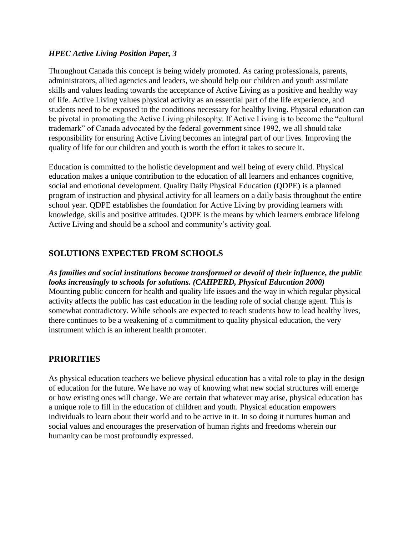Throughout Canada this concept is being widely promoted. As caring professionals, parents, administrators, allied agencies and leaders, we should help our children and youth assimilate skills and values leading towards the acceptance of Active Living as a positive and healthy way of life. Active Living values physical activity as an essential part of the life experience, and students need to be exposed to the conditions necessary for healthy living. Physical education can be pivotal in promoting the Active Living philosophy. If Active Living is to become the "cultural trademark" of Canada advocated by the federal government since 1992, we all should take responsibility for ensuring Active Living becomes an integral part of our lives. Improving the quality of life for our children and youth is worth the effort it takes to secure it.

Education is committed to the holistic development and well being of every child. Physical education makes a unique contribution to the education of all learners and enhances cognitive, social and emotional development. Quality Daily Physical Education (QDPE) is a planned program of instruction and physical activity for all learners on a daily basis throughout the entire school year. QDPE establishes the foundation for Active Living by providing learners with knowledge, skills and positive attitudes. QDPE is the means by which learners embrace lifelong Active Living and should be a school and community's activity goal.

# **SOLUTIONS EXPECTED FROM SCHOOLS**

*As families and social institutions become transformed or devoid of their influence, the public looks increasingly to schools for solutions. (CAHPERD, Physical Education 2000)* Mounting public concern for health and quality life issues and the way in which regular physical activity affects the public has cast education in the leading role of social change agent. This is somewhat contradictory. While schools are expected to teach students how to lead healthy lives, there continues to be a weakening of a commitment to quality physical education, the very instrument which is an inherent health promoter.

## **PRIORITIES**

As physical education teachers we believe physical education has a vital role to play in the design of education for the future. We have no way of knowing what new social structures will emerge or how existing ones will change. We are certain that whatever may arise, physical education has a unique role to fill in the education of children and youth. Physical education empowers individuals to learn about their world and to be active in it. In so doing it nurtures human and social values and encourages the preservation of human rights and freedoms wherein our humanity can be most profoundly expressed.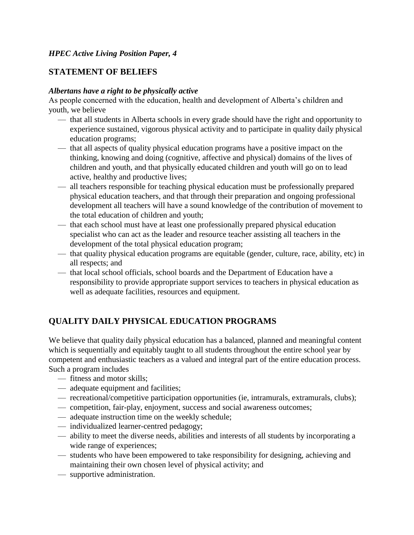# **STATEMENT OF BELIEFS**

#### *Albertans have a right to be physically active*

As people concerned with the education, health and development of Alberta's children and youth, we believe

- that all students in Alberta schools in every grade should have the right and opportunity to experience sustained, vigorous physical activity and to participate in quality daily physical education programs;
- that all aspects of quality physical education programs have a positive impact on the thinking, knowing and doing (cognitive, affective and physical) domains of the lives of children and youth, and that physically educated children and youth will go on to lead active, healthy and productive lives;
- all teachers responsible for teaching physical education must be professionally prepared physical education teachers, and that through their preparation and ongoing professional development all teachers will have a sound knowledge of the contribution of movement to the total education of children and youth;
- that each school must have at least one professionally prepared physical education specialist who can act as the leader and resource teacher assisting all teachers in the development of the total physical education program;
- that quality physical education programs are equitable (gender, culture, race, ability, etc) in all respects; and
- that local school officials, school boards and the Department of Education have a responsibility to provide appropriate support services to teachers in physical education as well as adequate facilities, resources and equipment.

# **QUALITY DAILY PHYSICAL EDUCATION PROGRAMS**

We believe that quality daily physical education has a balanced, planned and meaningful content which is sequentially and equitably taught to all students throughout the entire school year by competent and enthusiastic teachers as a valued and integral part of the entire education process. Such a program includes

- fitness and motor skills;
- adequate equipment and facilities;
- recreational/competitive participation opportunities (ie, intramurals, extramurals, clubs);
- competition, fair-play, enjoyment, success and social awareness outcomes;
- adequate instruction time on the weekly schedule;
- individualized learner-centred pedagogy;
- ability to meet the diverse needs, abilities and interests of all students by incorporating a wide range of experiences;
- students who have been empowered to take responsibility for designing, achieving and maintaining their own chosen level of physical activity; and
- supportive administration.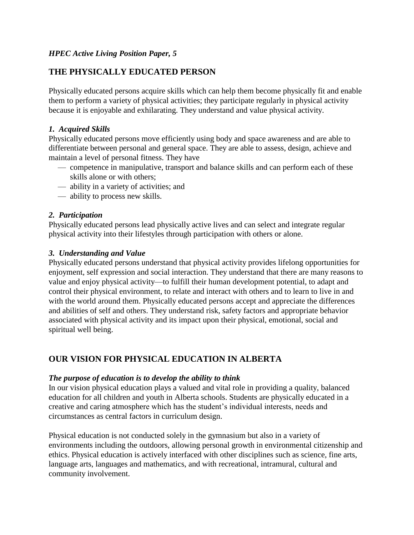# **THE PHYSICALLY EDUCATED PERSON**

Physically educated persons acquire skills which can help them become physically fit and enable them to perform a variety of physical activities; they participate regularly in physical activity because it is enjoyable and exhilarating. They understand and value physical activity.

## *1. Acquired Skills*

Physically educated persons move efficiently using body and space awareness and are able to differentiate between personal and general space. They are able to assess, design, achieve and maintain a level of personal fitness. They have

- competence in manipulative, transport and balance skills and can perform each of these skills alone or with others;
- ability in a variety of activities; and
- ability to process new skills.

#### *2. Participation*

Physically educated persons lead physically active lives and can select and integrate regular physical activity into their lifestyles through participation with others or alone.

#### *3. Understanding and Value*

Physically educated persons understand that physical activity provides lifelong opportunities for enjoyment, self expression and social interaction. They understand that there are many reasons to value and enjoy physical activity—to fulfill their human development potential, to adapt and control their physical environment, to relate and interact with others and to learn to live in and with the world around them. Physically educated persons accept and appreciate the differences and abilities of self and others. They understand risk, safety factors and appropriate behavior associated with physical activity and its impact upon their physical, emotional, social and spiritual well being.

# **OUR VISION FOR PHYSICAL EDUCATION IN ALBERTA**

#### *The purpose of education is to develop the ability to think*

In our vision physical education plays a valued and vital role in providing a quality, balanced education for all children and youth in Alberta schools. Students are physically educated in a creative and caring atmosphere which has the student's individual interests, needs and circumstances as central factors in curriculum design.

Physical education is not conducted solely in the gymnasium but also in a variety of environments including the outdoors, allowing personal growth in environmental citizenship and ethics. Physical education is actively interfaced with other disciplines such as science, fine arts, language arts, languages and mathematics, and with recreational, intramural, cultural and community involvement.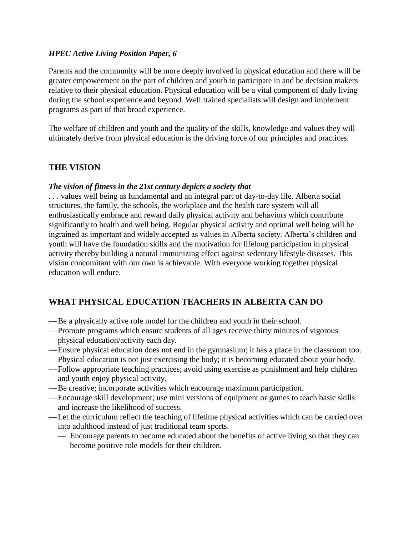Parents and the community will be more deeply involved in physical education and there will be greater empowerment on the part of children and youth to participate in and be decision makers relative to their physical education. Physical education will be a vital component of daily living during the school experience and beyond. Well trained specialists will design and implement programs as part of that broad experience.

The welfare of children and youth and the quality of the skills, knowledge and values they will ultimately derive from physical education is the driving force of our principles and practices.

## **THE VISION**

#### *The vision of fitness in the 21st century depicts a society that*

. . . values well being as fundamental and an integral part of day-to-day life. Alberta social structures, the family, the schools, the workplace and the health care system will all enthusiastically embrace and reward daily physical activity and behaviors which contribute significantly to health and well being. Regular physical activity and optimal well being will be ingrained as important and widely accepted as values in Alberta society. Alberta's children and youth will have the foundation skills and the motivation for lifelong participation in physical activity thereby building a natural immunizing effect against sedentary lifestyle diseases. This vision concomitant with our own is achievable. With everyone working together physical education will endure.

# **WHAT PHYSICAL EDUCATION TEACHERS IN ALBERTA CAN DO**

- —Be a physically active role model for the children and youth in their school.
- —Promote programs which ensure students of all ages receive thirty minutes of vigorous physical education/activity each day.
- —Ensure physical education does not end in the gymnasium; it has a place in the classroom too. Physical education is not just exercising the body; it is becoming educated about your body.
- —Follow appropriate teaching practices; avoid using exercise as punishment and help children and youth enjoy physical activity.
- —Be creative; incorporate activities which encourage maximum participation.
- —Encourage skill development; use mini versions of equipment or games to teach basic skills and increase the likelihood of success.
- —Let the curriculum reflect the teaching of lifetime physical activities which can be carried over into adulthood instead of just traditional team sports.
	- Encourage parents to become educated about the benefits of active living so that they can become positive role models for their children.